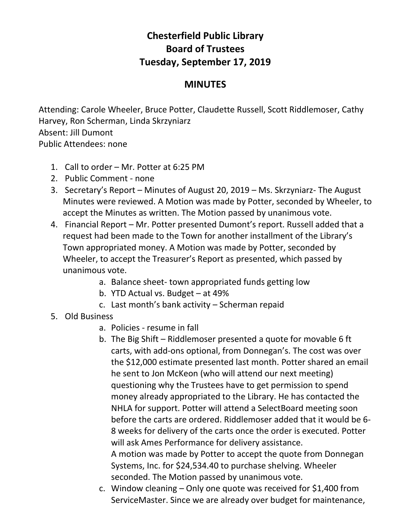## **Chesterfield Public Library Board of Trustees Tuesday, September 17, 2019**

## **MINUTES**

Attending: Carole Wheeler, Bruce Potter, Claudette Russell, Scott Riddlemoser, Cathy Harvey, Ron Scherman, Linda Skrzyniarz Absent: Jill Dumont Public Attendees: none

- 1. Call to order Mr. Potter at 6:25 PM
- 2. Public Comment none
- 3. Secretary's Report Minutes of August 20, 2019 Ms. Skrzyniarz- The August Minutes were reviewed. A Motion was made by Potter, seconded by Wheeler, to accept the Minutes as written. The Motion passed by unanimous vote.
- 4. Financial Report Mr. Potter presented Dumont's report. Russell added that a request had been made to the Town for another installment of the Library's Town appropriated money. A Motion was made by Potter, seconded by Wheeler, to accept the Treasurer's Report as presented, which passed by unanimous vote.
	- a. Balance sheet- town appropriated funds getting low
	- b. YTD Actual vs. Budget at 49%
	- c. Last month's bank activity Scherman repaid
- 5. Old Business
	- a. Policies resume in fall
	- b. The Big Shift Riddlemoser presented a quote for movable 6 ft carts, with add-ons optional, from Donnegan's. The cost was over the \$12,000 estimate presented last month. Potter shared an email he sent to Jon McKeon (who will attend our next meeting) questioning why the Trustees have to get permission to spend money already appropriated to the Library. He has contacted the NHLA for support. Potter will attend a SelectBoard meeting soon before the carts are ordered. Riddlemoser added that it would be 6- 8 weeks for delivery of the carts once the order is executed. Potter will ask Ames Performance for delivery assistance. A motion was made by Potter to accept the quote from Donnegan Systems, Inc. for \$24,534.40 to purchase shelving. Wheeler seconded. The Motion passed by unanimous vote.
	- c. Window cleaning Only one quote was received for \$1,400 from ServiceMaster. Since we are already over budget for maintenance,